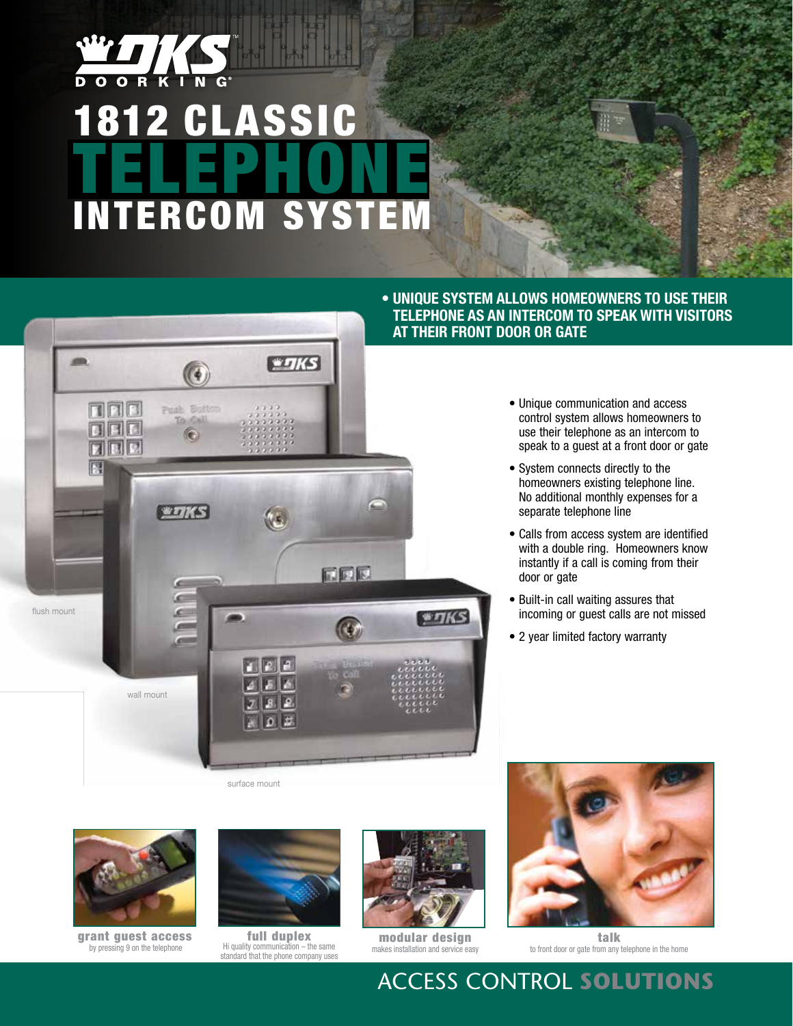

# 1812 CLASSIC TELEPHONE INTERCOM SYS



surface mount



grant guest access by pressing 9 on the telephone



full duplex Hi quality communication – the same standard that the phone company uses



modular design makes installation and service easy



talk to front door or gate from any telephone in the home

#### **• Unique system allows homeowners to use their telephone as an intercom to speak with visitors at their front door or gate**

- Unique communication and access control system allows homeowners to use their telephone as an intercom to speak to a guest at a front door or gate
- System connects directly to the homeowners existing telephone line. No additional monthly expenses for a separate telephone line
- Calls from access system are identified with a double ring. Homeowners know instantly if a call is coming from their door or gate
- Built-in call waiting assures that incoming or guest calls are not missed
- 2 year limited factory warranty

Access Control **Solutions**